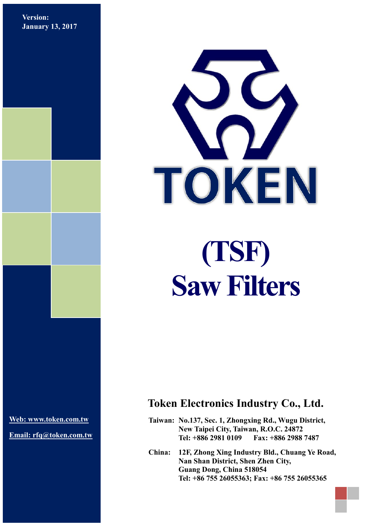**Version: January 13, 2017**



**[Web: www.token.com.tw](http://www.token.com.tw/)**

**Email: rfq@token.com.tw**

## **Token Electronics Industry Co., Ltd.**

**Taiwan: No.137, Sec. 1, Zhongxing Rd., Wugu District, New Taipei City, Taiwan, R.O.C. 24872 Tel: +886 2981 0109 Fax: +886 2988 7487**

**China: 12F, Zhong Xing Industry Bld., Chuang Ye Road, Nan Shan District, Shen Zhen City, Guang Dong, China 518054 Tel: +86 755 26055363; Fax: +86 755 26055365**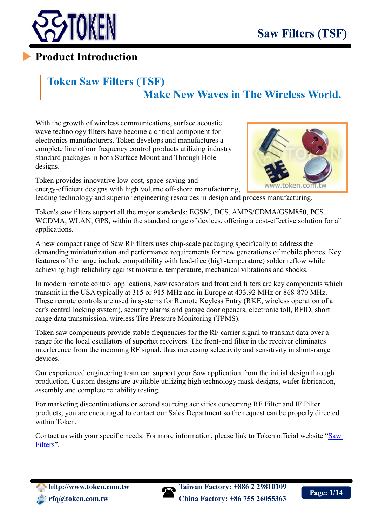

## **Product Introduction**

## **Token Saw Filters (TSF) Make New Waves in The Wireless World.**

With the growth of wireless communications, surface acoustic wave technology filters have become a critical component for electronics manufacturers. Token develops and manufactures a complete line of our frequency control products utilizing industry standard packages in both Surface Mount and Through Hole designs.

Token provides innovative low-cost, space-saving and energy-efficient designs with high volume off-shore manufacturing,



leading technology and superior engineering resources in design and process manufacturing.

Token's saw filters support all the major standards: EGSM, DCS, AMPS/CDMA/GSM850, PCS, WCDMA, WLAN, GPS, within the standard range of devices, offering a cost-effective solution for all applications.

A new compact range of Saw RF filters uses chip-scale packaging specifically to address the demanding miniaturization and performance requirements for new generations of mobile phones. Key features of the range include compatibility with lead-free (high-temperature) solder reflow while achieving high reliability against moisture, temperature, mechanical vibrations and shocks.

In modern remote control applications, Saw resonators and front end filters are key components which transmit in the USA typically at 315 or 915 MHz and in Europe at 433.92 MHz or 868-870 MHz. These remote controls are used in systems for Remote Keyless Entry (RKE, wireless operation of a car's central locking system), security alarms and garage door openers, electronic toll, RFID, short range data transmission, wireless Tire Pressure Monitoring (TPMS).

Token saw components provide stable frequencies for the RF carrier signal to transmit data over a range for the local oscillators of superhet receivers. The front-end filter in the receiver eliminates interference from the incoming RF signal, thus increasing selectivity and sensitivity in short-range devices.

Our experienced engineering team can support your Saw application from the initial design through production. Custom designs are available utilizing high technology mask designs, wafer fabrication, assembly and complete reliability testing.

For marketing discontinuations or second sourcing activities concerning RF Filter and IF Filter products, you are encouraged to contact our Sales Department so the request can be properly directed within Token.

Contact us with your specific needs. For more information, please link to Token official website "[Saw](http://www.token.com.tw/ceramic-discriminator/index.html) [Filters](http://www.token.com.tw/saw/index.html)".



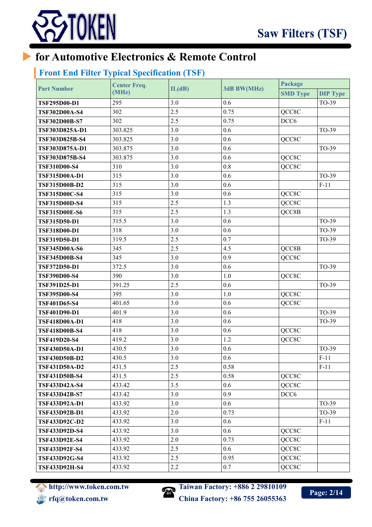

## **for Automotive Electronics & Remote Control**

## **Front End Filter Typical Specification (TSF)**

| <b>Part Number</b>   | <b>Center Freq.</b> |        | 3dB BW(MHz) | Package          |                 |
|----------------------|---------------------|--------|-------------|------------------|-----------------|
|                      | (MHz)               | IL(dB) |             | <b>SMD Type</b>  | <b>DIP Type</b> |
| <b>TSF295D00-D1</b>  | 295                 | 3.0    | 0.6         |                  | TO-39           |
| <b>TSF302D00A-S4</b> | 302                 | 2.5    | 0.75        | QCC8C            |                 |
| <b>TSF302D00B-S7</b> | 302                 | 2.5    | 0.75        | DCC <sub>6</sub> |                 |
| TSF303D825A-D1       | 303.825             | 3.0    | 0.6         |                  | TO-39           |
| TSF303D825B-S4       | 303.825             | 3.0    | 0.6         | QCC8C            |                 |
| TSF303D875A-D1       | 303.875             | 3.0    | 0.6         |                  | TO-39           |
| TSF303D875B-S4       | 303.875             | 3.0    | 0.6         | QCC8C            |                 |
| <b>TSF310D00-S4</b>  | 310                 | 3.0    | 0.8         | QCC8C            |                 |
| <b>TSF315D00A-D1</b> | 315                 | 3.0    | 0.6         |                  | TO-39           |
| <b>TSF315D00B-D2</b> | 315                 | 3.0    | 0.6         |                  | $F-11$          |
| <b>TSF315D00C-S4</b> | 315                 | 3.0    | 0.6         | QCC8C            |                 |
| <b>TSF315D00D-S4</b> | 315                 | 2.5    | 1.3         | QCC8C            |                 |
| <b>TSF315D00E-S6</b> | 315                 | 2.5    | 1.3         | QCC8B            |                 |
| <b>TSF315D50-D1</b>  | 315.5               | 3.0    | 0.6         |                  | TO-39           |
| <b>TSF318D00-D1</b>  | 318                 | 3.0    | 0.6         |                  | TO-39           |
| <b>TSF319D50-D1</b>  | 319.5               | 2.5    | 0.7         |                  | TO-39           |
| <b>TSF345D00A-S6</b> | 345                 | 2.5    | 4.5         | QCC8B            |                 |
| <b>TSF345D00B-S4</b> | 345                 | 3.0    | 0.9         | QCC8C            |                 |
| <b>TSF372D50-D1</b>  | 372.5               | 3.0    | 0.6         |                  | TO-39           |
| <b>TSF390D00-S4</b>  | 390                 | 3.0    | 1.0         | QCC8C            |                 |
| <b>TSF391D25-D1</b>  | 391.25              | 2.5    | 0.6         |                  | TO-39           |
| <b>TSF395D00-S4</b>  | 395                 | 3.0    | 1.0         | QCC8C            |                 |
| <b>TSF401D65-S4</b>  | 401.65              | 3.0    | 0.6         | QCC8C            |                 |
| TSF401D90-D1         | 401.9               | 3.0    | 0.6         |                  | TO-39           |
| <b>TSF418D00A-D1</b> | 418                 | 3.0    | 0.6         |                  | TO-39           |
| <b>TSF418D00B-S4</b> | 418                 | 3.0    | 0.6         | QCC8C            |                 |
| <b>TSF419D20-S4</b>  | 419.2               | 3.0    | 1.2         | QCC8C            |                 |
| <b>TSF430D50A-D1</b> | 430.5               | 3.0    | 0.6         |                  | TO-39           |
| <b>TSF430D50B-D2</b> | 430.5               | 3.0    | 0.6         |                  | $F-11$          |
| <b>TSF431D50A-D2</b> | 431.5               | 2.5    | 0.58        |                  | $F-11$          |
| <b>TSF431D50B-S4</b> | 431.5               | 2.5    | 0.58        | QCC8C            |                 |
| <b>TSF433D42A-S4</b> | 433.42              | 3.5    | 0.6         | QCC8C            |                 |
| <b>TSF433D42B-S7</b> | 433.42              | 3.0    | 0.9         | DCC <sub>6</sub> |                 |
| TSF433D92A-D1        | 433.92              | 3.0    | 0.6         |                  | TO-39           |
| <b>TSF433D92B-D1</b> | 433.92              | 2.0    | 0.73        |                  | TO-39           |
| <b>TSF433D92C-D2</b> | 433.92              | 3.0    | 0.6         |                  | $F-11$          |
| <b>TSF433D92D-S4</b> | 433.92              | 3.0    | 0.6         | QCC8C            |                 |
| <b>TSF433D92E-S4</b> | 433.92              | 2.0    | 0.73        | QCC8C            |                 |
| TSF433D92F-S4        | 433.92              | 2.5    | 0.6         | QCC8C            |                 |
| <b>TSF433D92G-S4</b> | 433.92              | 2.5    | 0.95        | QCC8C            |                 |
| <b>TSF433D92H-S4</b> | 433.92              | 2.2    | 0.7         | QCC8C            |                 |



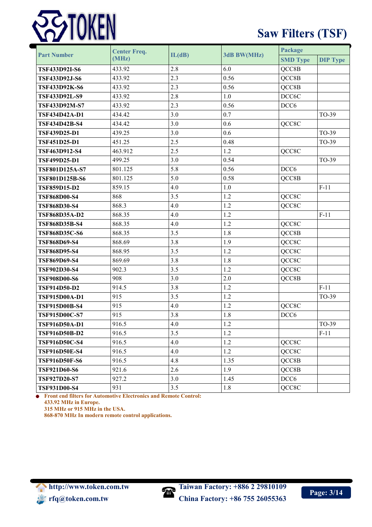

# **Saw Filters (TSF)**

| <b>Part Number</b>    | <b>Center Freq.</b> | IL(dB) | 3dB BW(MHz) | Package          |                 |
|-----------------------|---------------------|--------|-------------|------------------|-----------------|
|                       | (MHz)               |        |             | <b>SMD Type</b>  | <b>DIP Type</b> |
| <b>TSF433D92I-S6</b>  | 433.92              | 2.8    | 6.0         | QCC8B            |                 |
| TSF433D92J-S6         | 433.92              | 2.3    | 0.56        | QCC8B            |                 |
| <b>TSF433D92K-S6</b>  | 433.92              | 2.3    | 0.56        | QCC8B            |                 |
| <b>TSF433D92L-S9</b>  | 433.92              | 2.8    | 1.0         | DCC6C            |                 |
| TSF433D92M-S7         | 433.92              | 2.3    | 0.56        | DCC <sub>6</sub> |                 |
| <b>TSF434D42A-D1</b>  | 434.42              | 3.0    | 0.7         |                  | TO-39           |
| <b>TSF434D42B-S4</b>  | 434.42              | 3.0    | 0.6         | QCC8C            |                 |
| <b>TSF439D25-D1</b>   | 439.25              | 3.0    | 0.6         |                  | TO-39           |
| <b>TSF451D25-D1</b>   | 451.25              | 2.5    | 0.48        |                  | TO-39           |
| TSF463D912-S4         | 463.912             | 2.5    | 1.2         | QCC8C            |                 |
| <b>TSF499D25-D1</b>   | 499.25              | 3.0    | 0.54        |                  | TO-39           |
| <b>TSF801D125A-S7</b> | 801.125             | 5.8    | 0.56        | DCC <sub>6</sub> |                 |
| <b>TSF801D125B-S6</b> | 801.125             | 5.0    | 0.58        | QCC8B            |                 |
| <b>TSF859D15-D2</b>   | 859.15              | 4.0    | 1.0         |                  | $F-11$          |
| <b>TSF868D00-S4</b>   | 868                 | 3.5    | 1.2         | QCC8C            |                 |
| <b>TSF868D30-S4</b>   | 868.3               | 4.0    | 1.2         | QCC8C            |                 |
| <b>TSF868D35A-D2</b>  | 868.35              | 4.0    | 1.2         |                  | $F-11$          |
| <b>TSF868D35B-S4</b>  | 868.35              | 4.0    | 1.2         | QCC8C            |                 |
| <b>TSF868D35C-S6</b>  | 868.35              | 3.5    | 1.8         | QCC8B            |                 |
| <b>TSF868D69-S4</b>   | 868.69              | 3.8    | 1.9         | QCC8C            |                 |
| <b>TSF868D95-S4</b>   | 868.95              | 3.5    | 1.2         | QCC8C            |                 |
| <b>TSF869D69-S4</b>   | 869.69              | 3.8    | 1.8         | QCC8C            |                 |
| TSF902D30-S4          | 902.3               | 3.5    | 1.2         | QCC8C            |                 |
| <b>TSF908D00-S6</b>   | 908                 | 3.0    | 2.0         | QCC8B            |                 |
| TSF914D50-D2          | 914.5               | 3.8    | 1.2         |                  | $F-11$          |
| TSF915D00A-D1         | 915                 | 3.5    | 1.2         |                  | TO-39           |
| <b>TSF915D00B-S4</b>  | 915                 | 4.0    | 1.2         | QCC8C            |                 |
| <b>TSF915D00C-S7</b>  | 915                 | 3.8    | 1.8         | DCC <sub>6</sub> |                 |
| TSF916D50A-D1         | 916.5               | $4.0$  | $1.2\,$     |                  | TO-39           |
| TSF916D50B-D2         | 916.5               | 3.5    | 1.2         |                  | $F-11$          |
| <b>TSF916D50C-S4</b>  | 916.5               | 4.0    | 1.2         | QCC8C            |                 |
| <b>TSF916D50E-S4</b>  | 916.5               | 4.0    | 1.2         | QCC8C            |                 |
| <b>TSF916D50F-S6</b>  | 916.5               | 4.8    | 1.35        | QCC8B            |                 |
| <b>TSF921D60-S6</b>   | 921.6               | 2.6    | 1.9         | QCC8B            |                 |
| <b>TSF927D20-S7</b>   | 927.2               | 3.0    | 1.45        | DCC <sub>6</sub> |                 |
| <b>TSF931D00-S4</b>   | 931                 | 3.5    | 1.8         | QCC8C            |                 |

**Front end filters for Automotive Electronics and Remote Control: 433.92 MHz in Europe.**

**315 MHz or 915 MHz in the USA.**

**868-870 MHz In modern remote control applications.**

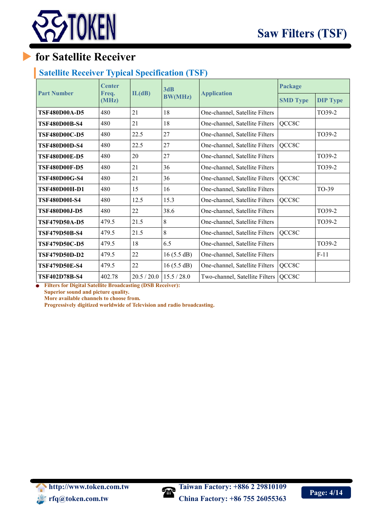

## **for Satellite Receiver**

### **Satellite Receiver Typical Specification (TSF)**

|                      | <b>Center</b>  | 3dB         |                |                                | Package |                 |
|----------------------|----------------|-------------|----------------|--------------------------------|---------|-----------------|
| <b>Part Number</b>   | Freq.<br>(MHz) | IL(dB)      | <b>BW(MHz)</b> | <b>Application</b>             |         | <b>DIP Type</b> |
| <b>TSF480D00A-D5</b> | 480            | 21          | 18             | One-channel, Satellite Filters |         | TO39-2          |
| TSF480D00B-S4        | 480            | 21          | 18             | One-channel, Satellite Filters | QCC8C   |                 |
| <b>TSF480D00C-D5</b> | 480            | 22.5        | 27             | One-channel, Satellite Filters |         | TO39-2          |
| <b>TSF480D00D-S4</b> | 480            | 22.5        | 27             | One-channel, Satellite Filters | QCC8C   |                 |
| <b>TSF480D00E-D5</b> | 480            | 20          | 27             | One-channel, Satellite Filters |         | TO39-2          |
| <b>TSF480D00F-D5</b> | 480            | 21          | 36             | One-channel, Satellite Filters |         | TO39-2          |
| <b>TSF480D00G-S4</b> | 480            | 21          | 36             | One-channel, Satellite Filters | QCC8C   |                 |
| TSF480D00H-D1        | 480            | 15          | 16             | One-channel, Satellite Filters |         | TO-39           |
| <b>TSF480D00I-S4</b> | 480            | 12.5        | 15.3           | One-channel, Satellite Filters | QCC8C   |                 |
| TSF480D00J-D5        | 480            | 22          | 38.6           | One-channel, Satellite Filters |         | TO39-2          |
| TSF479D50A-D5        | 479.5          | 21.5        | 8              | One-channel, Satellite Filters |         | TO39-2          |
| TSF479D50B-S4        | 479.5          | 21.5        | 8              | One-channel, Satellite Filters | QCC8C   |                 |
| <b>TSF479D50C-D5</b> | 479.5          | 18          | 6.5            | One-channel, Satellite Filters |         | TO39-2          |
| <b>TSF479D50D-D2</b> | 479.5          | 22          | 16(5.5 dB)     | One-channel, Satellite Filters |         | $F-11$          |
| <b>TSF479D50E-S4</b> | 479.5          | 22          | 16(5.5 dB)     | One-channel, Satellite Filters | QCC8C   |                 |
| <b>TSF402D78B-S4</b> | 402.78         | 20.5 / 20.0 | 15.5/28.0      | Two-channel, Satellite Filters | QCC8C   |                 |

**Filters for Digital Satellite Broadcasting (DSB Receiver): Superior sound and picture quality. More available channels to choose from.**

**Progressively digitized worldwide of Television and radio broadcasting.**

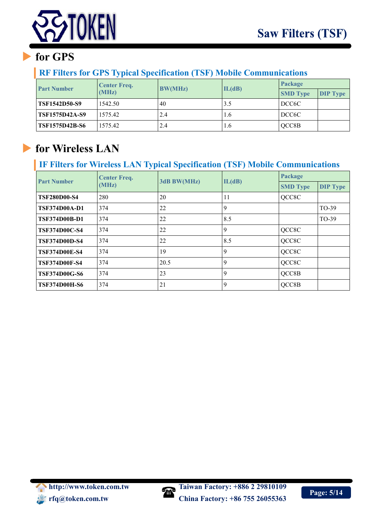

# **for GPS**

### **RF Filters for GPS Typical Specification (TSF) Mobile Communications**

| <b>Part Number</b>    | <b>Center Freq.</b> | <b>BW(MHz)</b> | IL(dB) | Package            |                 |
|-----------------------|---------------------|----------------|--------|--------------------|-----------------|
|                       | (MHz)               |                |        | <b>SMD Type</b>    | <b>DIP Type</b> |
| <b>TSF1542D50-S9</b>  | 1542.50             | 40             | 3.5    | DCC <sub>6</sub> C |                 |
| TSF1575D42A-S9        | 1575.42             | 2.4            | 1.6    | DCC6C              |                 |
| <b>TSF1575D42B-S6</b> | 1575.42             | 2.4            | 1.6    | QCC8B              |                 |

# **for Wireless LAN**

## **IF Filters for Wireless LAN Typical Specification (TSF) Mobile Communications**

| <b>Part Number</b>   | <b>Center Freq.</b> | 3dB BW(MHz) |             | Package         |                 |
|----------------------|---------------------|-------------|-------------|-----------------|-----------------|
|                      | (MHz)               |             | IL(dB)      | <b>SMD Type</b> | <b>DIP Type</b> |
| <b>TSF280D00-S4</b>  | 280                 | 20          | 11          | QCC8C           |                 |
| <b>TSF374D00A-D1</b> | 374                 | 22          | 9           |                 | TO-39           |
| <b>TSF374D00B-D1</b> | 374                 | 22          | 8.5         |                 | TO-39           |
| <b>TSF374D00C-S4</b> | 374                 | 22          | 9           | QCC8C           |                 |
| <b>TSF374D00D-S4</b> | 374                 | 22          | 8.5         | QCC8C           |                 |
| <b>TSF374D00E-S4</b> | 374                 | 19          | $\mathbf Q$ | QCC8C           |                 |
| <b>TSF374D00F-S4</b> | 374                 | 20.5        | 9           | QCC8C           |                 |
| <b>TSF374D00G-S6</b> | 374                 | 23          | 9           | QCC8B           |                 |
| <b>TSF374D00H-S6</b> | 374                 | 21          | 9           | QCC8B           |                 |

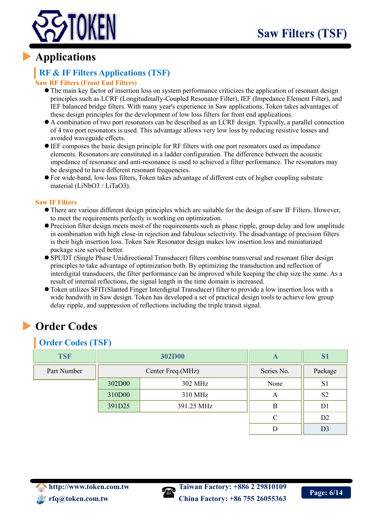

## **Applications**

## **RF & IF Filters Applications (TSF)**

#### **Saw RF Filters (Front End Filters)**

- The main key factor of insertion loss on system performance criticizes the application of resonant design principles such as LCRF (Longitudinally-Coupled Resonator Filter), IEF (Impedance Element Filter), and IEF balanced bridge filters. With many year's experience in Saw applications, Token takes advantages of these design principles for the development of low loss filters for front end applications.
- A combination of two port resonators can be described as an LCRF design. Typically, a parallel connection of 4 two port resonators is used. This advantage allows very low loss by reducing resistive losses and avoided waveguide effects.
- IEF composes the basic design principle for RF filters with one port resonators used as impedance elements. Resonators are constituted in a ladder configuration. The difference between the acoustic impedance of resonance and anti-resonance is used to achieved a filter performance. The resonators may be designed to have different resonant frequencies.
- For wide-band, low-loss filters, Token takes advantage of different cuts of higher coupling substate material (LiNbO3 / LiTaO3).

#### **Saw IF Filters**

- There are various different design principles which are suitable for the design of saw IF Filters. However, to meet the requirements perfectly is working on optimization.
- Precision filter design meets most of the requirements such as phase ripple, group delay and low amplitude in combination with high close-in rejection and fabulous selectivity. The disadvantage of precision filters is their high insertion loss. Token Saw Resonator design makes low insertion loss and miniaturized package size served better.
- SPUDT (Single Phase Unidirectional Transducer) filters combine transversal and resonant filter design principles to take advantage of optimization both. By optimizing the transduction and reflection of interdigital transducers, the filter performance can be improved while keeping the chip size the same. As a result of internal reflections, the signal length in the time domain is increased.
- Token utilizes SFIT(Slanted Finger Interdigital Transducer) filter to provide a low insertion loss with a wide bandwith in Saw design. Token has developed a set of practical design tools to achieve low group delay ripple, and suppression of reflections including the triple transit signal.

# **Order Codes**

### **Order Codes (TSF)**

| <b>TSF</b>  |        | 302D00            | A          | S <sub>1</sub> |
|-------------|--------|-------------------|------------|----------------|
| Part Number |        | Center Freq.(MHz) | Series No. | Package        |
|             | 302D00 | 302 MHz           | None       | S <sub>1</sub> |
|             | 310D00 | 310 MHz           | A          | S <sub>2</sub> |
|             | 391D25 | 391.25 MHz        | В          | D <sub>1</sub> |
|             |        |                   | $\subset$  | D <sub>2</sub> |
|             |        |                   |            | D <sub>3</sub> |



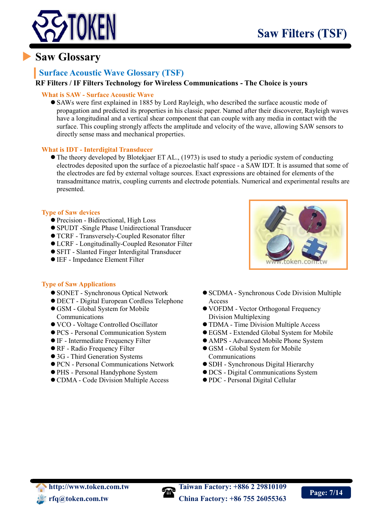

## **Saw Glossary**

### **Surface Acoustic Wave Glossary (TSF)**

#### **RF Filters / IF Filters Technology for Wireless Communications - The Choice is yours**

#### **What is SAW - Surface Acoustic Wave**

 SAWs were first explained in 1885 by Lord Rayleigh, who described the surface acoustic mode of propagation and predicted its properties in his classic paper. Named after their discoverer, Rayleigh waves have a longitudinal and a vertical shear component that can couple with any media in contact with the surface. This coupling strongly affects the amplitude and velocity of the wave, allowing SAW sensors to directly sense mass and mechanical properties.

#### **What is IDT - Interdigital Transducer**

 The theory developed by Blotekjaer ET AL., (1973) is used to study a periodic system of conducting electrodes deposited upon the surface of a piezoelastic half space - a SAW IDT. It is assumed that some of the electrodes are fed by external voltage sources. Exact expressions are obtained for elements of the transadmittance matrix, coupling currents and electrode potentials. Numerical and experimental results are presented.

#### **Type of Saw devices**

- Precision Bidirectional, High Loss
- SPUDT -Single Phase Unidirectional Transducer
- TCRF Transversely-Coupled Resonator filter
- LCRF Longitudinally-Coupled Resonator Filter
- SFIT Slanted Finger Interdigital Transducer
- IEF Impedance Element Filter

#### **Type of Saw Applications**

- SONET Synchronous Optical Network
- DECT Digital European Cordless Telephone
- GSM Global System for Mobile Communications
- VCO Voltage Controlled Oscillator
- PCS Personal Communication System
- IF Intermediate Frequency Filter
- RF Radio Frequency Filter
- 3G Third Generation Systems
- PCN Personal Communications Network
- PHS Personal Handyphone System
- CDMA Code Division Multiple Access



- SCDMA Synchronous Code Division Multiple Access
- VOFDM Vector Orthogonal Frequency Division Multiplexing
- TDMA Time Division Multiple Access
- EGSM Extended Global System for Mobile
- AMPS Advanced Mobile Phone System GSM - Global System for Mobile
- Communications
- SDH Synchronous Digital Hierarchy
- DCS Digital Communications System
- PDC Personal Digital Cellular

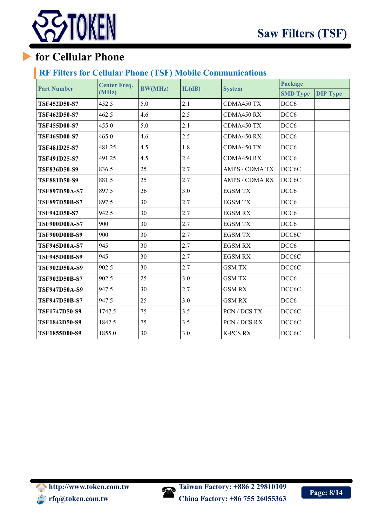

# **for Cellular Phone**

### **RF Filters for Cellular Phone (TSF) Mobile Communications**

| <b>Part Number</b>   | <b>Center Freq.</b> | <b>BW(MHz)</b> | IL(dB) | <b>System</b>   | Package          |                 |
|----------------------|---------------------|----------------|--------|-----------------|------------------|-----------------|
|                      | (MHz)               |                |        |                 | <b>SMD Type</b>  | <b>DIP Type</b> |
| <b>TSF452D50-S7</b>  | 452.5               | 5.0            | 2.1    | CDMA450 TX      | DCC <sub>6</sub> |                 |
| <b>TSF462D50-S7</b>  | 462.5               | 4.6            | 2.5    | CDMA450 RX      | DCC <sub>6</sub> |                 |
| <b>TSF455D00-S7</b>  | 455.0               | 5.0            | 2.1    | CDMA450 TX      | DCC <sub>6</sub> |                 |
| <b>TSF465D00-S7</b>  | 465.0               | 4.6            | 2.5    | CDMA450 RX      | DCC <sub>6</sub> |                 |
| <b>TSF481D25-S7</b>  | 481.25              | 4.5            | 1.8    | CDMA450 TX      | DCC <sub>6</sub> |                 |
| <b>TSF491D25-S7</b>  | 491.25              | 4.5            | 2.4    | CDMA450 RX      | DCC <sub>6</sub> |                 |
| <b>TSF836D50-S9</b>  | 836.5               | 25             | 2.7    | AMPS / CDMA TX  | DCC6C            |                 |
| <b>TSF881D50-S9</b>  | 881.5               | 25             | 2.7    | AMPS / CDMA RX  | DCC6C            |                 |
| <b>TSF897D50A-S7</b> | 897.5               | 26             | 3.0    | <b>EGSM TX</b>  | DCC <sub>6</sub> |                 |
| <b>TSF897D50B-S7</b> | 897.5               | 30             | 2.7    | <b>EGSM TX</b>  | DCC <sub>6</sub> |                 |
| <b>TSF942D50-S7</b>  | 942.5               | 30             | 2.7    | <b>EGSM RX</b>  | DCC <sub>6</sub> |                 |
| <b>TSF900D00A-S7</b> | 900                 | 30             | 2.7    | <b>EGSM TX</b>  | DCC <sub>6</sub> |                 |
| <b>TSF900D00B-S9</b> | 900                 | 30             | 2.7    | <b>EGSM TX</b>  | DCC6C            |                 |
| <b>TSF945D00A-S7</b> | 945                 | 30             | 2.7    | <b>EGSM RX</b>  | DCC <sub>6</sub> |                 |
| <b>TSF945D00B-S9</b> | 945                 | 30             | 2.7    | <b>EGSM RX</b>  | DCC6C            |                 |
| TSF902D50A-S9        | 902.5               | 30             | 2.7    | <b>GSM TX</b>   | DCC6C            |                 |
| TSF902D50B-S7        | 902.5               | 25             | 3.0    | <b>GSM TX</b>   | DCC <sub>6</sub> |                 |
| <b>TSF947D50A-S9</b> | 947.5               | 30             | 2.7    | <b>GSM RX</b>   | DCC6C            |                 |
| <b>TSF947D50B-S7</b> | 947.5               | 25             | 3.0    | <b>GSM RX</b>   | DCC <sub>6</sub> |                 |
| <b>TSF1747D50-S9</b> | 1747.5              | 75             | 3.5    | PCN / DCS TX    | DCC6C            |                 |
| <b>TSF1842D50-S9</b> | 1842.5              | 75             | 3.5    | PCN / DCS RX    | DCC6C            |                 |
| TSF1855D00-S9        | 1855.0              | 30             | 3.0    | <b>K-PCS RX</b> | DCC6C            |                 |

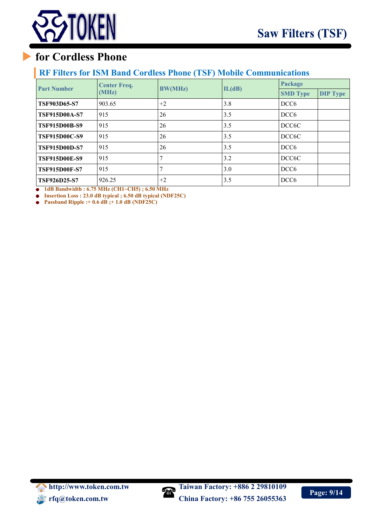

## **for Cordless Phone**

### **RF Filters for ISM Band Cordless Phone (TSF) Mobile Communications**

| <b>Part Number</b>   | <b>Center Freq.</b> |                | IL(dB) | Package            |                 |
|----------------------|---------------------|----------------|--------|--------------------|-----------------|
|                      | (MHz)               | <b>BW(MHz)</b> |        | <b>SMD Type</b>    | <b>DIP Type</b> |
| <b>TSF903D65-S7</b>  | 903.65              | $+2$           | 3.8    | DCC <sub>6</sub>   |                 |
| <b>TSF915D00A-S7</b> | 915                 | 26             | 3.5    | DCC <sub>6</sub>   |                 |
| <b>TSF915D00B-S9</b> | 915                 | 26             | 3.5    | DCC <sub>6</sub> C |                 |
| <b>TSF915D00C-S9</b> | 915                 | 26             | 3.5    | DCC <sub>6</sub> C |                 |
| <b>TSF915D00D-S7</b> | 915                 | 26             | 3.5    | DCC <sub>6</sub>   |                 |
| <b>TSF915D00E-S9</b> | 915                 |                | 3.2    | DCC <sub>6</sub> C |                 |
| <b>TSF915D00F-S7</b> | 915                 |                | 3.0    | DCC <sub>6</sub>   |                 |
| <b>TSF926D25-S7</b>  | 926.25              | $+2$           | 3.5    | DCC <sub>6</sub>   |                 |

**1dB Bandwidth : 6.75 MHz (CH1~CH5) ; 6.50 MHz**

**Insertion Loss : 23.0 dB typical ; 6.50 dB typical (NDF25C)**

**Passband Ripple :+ 0.6 dB ;+ 1.0 dB (NDF25C)**

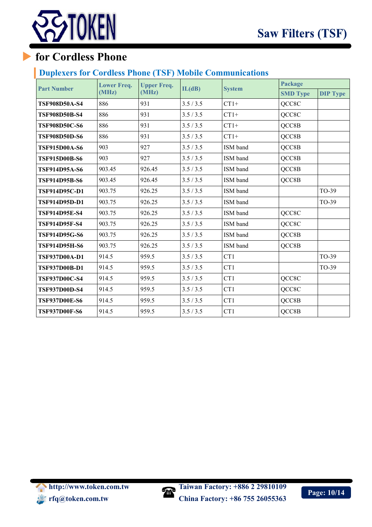



## **for Cordless Phone**

### **Duplexers for Cordless Phone (TSF) Mobile Communications**

| <b>Part Number</b>   | <b>Lower Freq.</b> | <b>Upper Freq.</b> | IL(dB)    | <b>System</b> | Package         |                 |
|----------------------|--------------------|--------------------|-----------|---------------|-----------------|-----------------|
|                      | (MHz)              | (MHz)              |           |               | <b>SMD Type</b> | <b>DIP Type</b> |
| <b>TSF908D50A-S4</b> | 886                | 931                | 3.5/3.5   | $CT1+$        | QCC8C           |                 |
| <b>TSF908D50B-S4</b> | 886                | 931                | 3.5 / 3.5 | $CT1+$        | QCC8C           |                 |
| <b>TSF908D50C-S6</b> | 886                | 931                | 3.5 / 3.5 | $CT1+$        | QCC8B           |                 |
| <b>TSF908D50D-S6</b> | 886                | 931                | 3.5 / 3.5 | $CT1+$        | QCC8B           |                 |
| <b>TSF915D00A-S6</b> | 903                | 927                | 3.5/3.5   | ISM band      | QCC8B           |                 |
| <b>TSF915D00B-S6</b> | 903                | 927                | 3.5 / 3.5 | ISM band      | QCC8B           |                 |
| <b>TSF914D95A-S6</b> | 903.45             | 926.45             | 3.5/3.5   | ISM band      | QCC8B           |                 |
| <b>TSF914D95B-S6</b> | 903.45             | 926.45             | 3.5 / 3.5 | ISM band      | QCC8B           |                 |
| <b>TSF914D95C-D1</b> | 903.75             | 926.25             | 3.5 / 3.5 | ISM band      |                 | TO-39           |
| <b>TSF914D95D-D1</b> | 903.75             | 926.25             | 3.5 / 3.5 | ISM band      |                 | TO-39           |
| <b>TSF914D95E-S4</b> | 903.75             | 926.25             | 3.5 / 3.5 | ISM band      | QCC8C           |                 |
| <b>TSF914D95F-S4</b> | 903.75             | 926.25             | 3.5 / 3.5 | ISM band      | QCC8C           |                 |
| <b>TSF914D95G-S6</b> | 903.75             | 926.25             | 3.5/3.5   | ISM band      | QCC8B           |                 |
| <b>TSF914D95H-S6</b> | 903.75             | 926.25             | 3.5/3.5   | ISM band      | QCC8B           |                 |
| <b>TSF937D00A-D1</b> | 914.5              | 959.5              | 3.5/3.5   | CT1           |                 | TO-39           |
| <b>TSF937D00B-D1</b> | 914.5              | 959.5              | 3.5 / 3.5 | CT1           |                 | TO-39           |
| <b>TSF937D00C-S4</b> | 914.5              | 959.5              | 3.5 / 3.5 | CT1           | QCC8C           |                 |
| <b>TSF937D00D-S4</b> | 914.5              | 959.5              | 3.5 / 3.5 | CT1           | QCC8C           |                 |
| <b>TSF937D00E-S6</b> | 914.5              | 959.5              | 3.5 / 3.5 | CT1           | QCC8B           |                 |
| <b>TSF937D00F-S6</b> | 914.5              | 959.5              | 3.5/3.5   | CT1           | QCC8B           |                 |



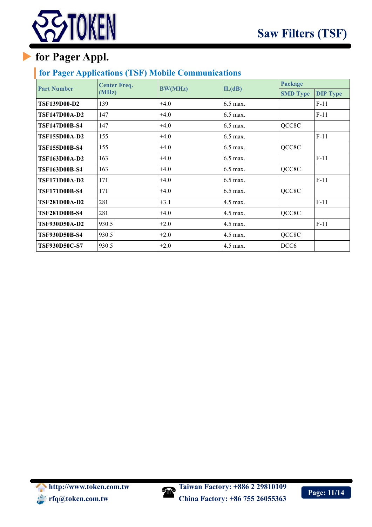

# **for Pager Appl.**

### **for Pager Applications (TSF) Mobile Communications**

| <b>Part Number</b>   | <b>Center Freq.</b> | <b>BW(MHz)</b> | IL(dB)     | Package          |                 |
|----------------------|---------------------|----------------|------------|------------------|-----------------|
|                      | (MHz)               |                |            | <b>SMD Type</b>  | <b>DIP Type</b> |
| <b>TSF139D00-D2</b>  | 139                 | $+4.0$         | 6.5 max.   |                  | $F-11$          |
| <b>TSF147D00A-D2</b> | 147                 | $+4.0$         | 6.5 max.   |                  | $F-11$          |
| <b>TSF147D00B-S4</b> | 147                 | $+4.0$         | $6.5$ max. | QCC8C            |                 |
| <b>TSF155D00A-D2</b> | 155                 | $+4.0$         | $6.5$ max. |                  | $F-11$          |
| <b>TSF155D00B-S4</b> | 155                 | $+4.0$         | 6.5 max.   | QCC8C            |                 |
| <b>TSF163D00A-D2</b> | 163                 | $+4.0$         | 6.5 max.   |                  | $F-11$          |
| <b>TSF163D00B-S4</b> | 163                 | $+4.0$         | 6.5 max.   | QCC8C            |                 |
| <b>TSF171D00A-D2</b> | 171                 | $+4.0$         | 6.5 max.   |                  | $F-11$          |
| <b>TSF171D00B-S4</b> | 171                 | $+4.0$         | 6.5 max.   | QCC8C            |                 |
| <b>TSF281D00A-D2</b> | 281                 | $+3.1$         | 4.5 max.   |                  | $F-11$          |
| <b>TSF281D00B-S4</b> | 281                 | $+4.0$         | $4.5$ max. | QCC8C            |                 |
| <b>TSF930D50A-D2</b> | 930.5               | $+2.0$         | $4.5$ max. |                  | $F-11$          |
| <b>TSF930D50B-S4</b> | 930.5               | $+2.0$         | 4.5 max.   | QCC8C            |                 |
| <b>TSF930D50C-S7</b> | 930.5               | $+2.0$         | 4.5 max.   | DCC <sub>6</sub> |                 |



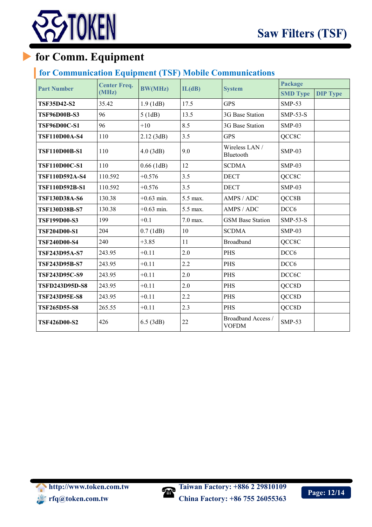

# **for Comm. Equipment**

## **for Communication Equipment (TSF) Mobile Communications**

| <b>Part Number</b>    | <b>Center Freq.</b> | <b>BW(MHz)</b> | IL(dB)   | <b>System</b>                      | Package          |                 |
|-----------------------|---------------------|----------------|----------|------------------------------------|------------------|-----------------|
|                       | (MHz)               |                |          |                                    | <b>SMD Type</b>  | <b>DIP Type</b> |
| <b>TSF35D42-S2</b>    | 35.42               | 1.9(1dB)       | 17.5     | <b>GPS</b>                         | <b>SMP-53</b>    |                 |
| <b>TSF96D00B-S3</b>   | 96                  | 5(1dB)         | 13.5     | 3G Base Station                    | $SMP-53-S$       |                 |
| <b>TSF96D00C-S1</b>   | 96                  | $+10$          | 8.5      | 3G Base Station                    | $SMP-03$         |                 |
| <b>TSF110D00A-S4</b>  | 110                 | 2.12(3dB)      | 3.5      | <b>GPS</b>                         | QCC8C            |                 |
| <b>TSF110D00B-S1</b>  | 110                 | 4.0(3dB)       | 9.0      | Wireless LAN /<br>Bluetooth        | $SMP-03$         |                 |
| <b>TSF110D00C-S1</b>  | 110                 | $0.66$ (1dB)   | 12       | <b>SCDMA</b>                       | $SMP-03$         |                 |
| TSF110D592A-S4        | 110.592             | $+0.576$       | 3.5      | <b>DECT</b>                        | QCC8C            |                 |
| TSF110D592B-S1        | 110.592             | $+0.576$       | 3.5      | <b>DECT</b>                        | $SMP-03$         |                 |
| <b>TSF130D38A-S6</b>  | 130.38              | $+0.63$ min.   | 5.5 max. | AMPS / ADC                         | QCC8B            |                 |
| <b>TSF130D38B-S7</b>  | 130.38              | $+0.63$ min.   | 5.5 max. | AMPS / ADC                         | DCC <sub>6</sub> |                 |
| <b>TSF199D00-S3</b>   | 199                 | $+0.1$         | 7.0 max. | <b>GSM Base Station</b>            | $SMP-53-S$       |                 |
| <b>TSF204D00-S1</b>   | 204                 | $0.7$ (1dB)    | 10       | <b>SCDMA</b>                       | $SMP-03$         |                 |
| <b>TSF240D00-S4</b>   | 240                 | $+3.85$        | 11       | <b>Broadband</b>                   | QCC8C            |                 |
| <b>TSF243D95A-S7</b>  | 243.95              | $+0.11$        | 2.0      | PHS                                | DCC <sub>6</sub> |                 |
| <b>TSF243D95B-S7</b>  | 243.95              | $+0.11$        | 2.2      | <b>PHS</b>                         | DCC <sub>6</sub> |                 |
| <b>TSF243D95C-S9</b>  | 243.95              | $+0.11$        | 2.0      | <b>PHS</b>                         | DCC6C            |                 |
| <b>TSFD243D95D-S8</b> | 243.95              | $+0.11$        | 2.0      | <b>PHS</b>                         | QCC8D            |                 |
| <b>TSF243D95E-S8</b>  | 243.95              | $+0.11$        | 2.2      | PHS                                | QCC8D            |                 |
| <b>TSF265D55-S8</b>   | 265.55              | $+0.11$        | 2.3      | <b>PHS</b>                         | QCC8D            |                 |
| <b>TSF426D00-S2</b>   | 426                 | $6.5$ (3dB)    | 22       | Broadband Access /<br><b>VOFDM</b> | <b>SMP-53</b>    |                 |



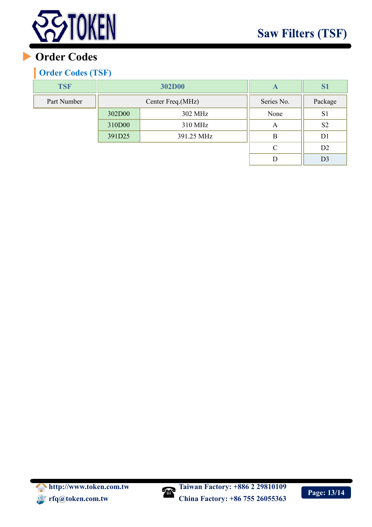

# **Order Codes**

## **Order Codes (TSF)**

| <b>TSF</b>  |        | <b>302D00</b>     | A          | S <sub>1</sub> |
|-------------|--------|-------------------|------------|----------------|
| Part Number |        | Center Freq.(MHz) | Series No. | Package        |
|             | 302D00 | 302 MHz           | None       | S <sub>1</sub> |
|             | 310D00 | 310 MHz           | А          | S <sub>2</sub> |
|             | 391D25 | 391.25 MHz        | B          | D1             |
|             |        |                   | C          | D <sub>2</sub> |
|             |        |                   |            | D3             |